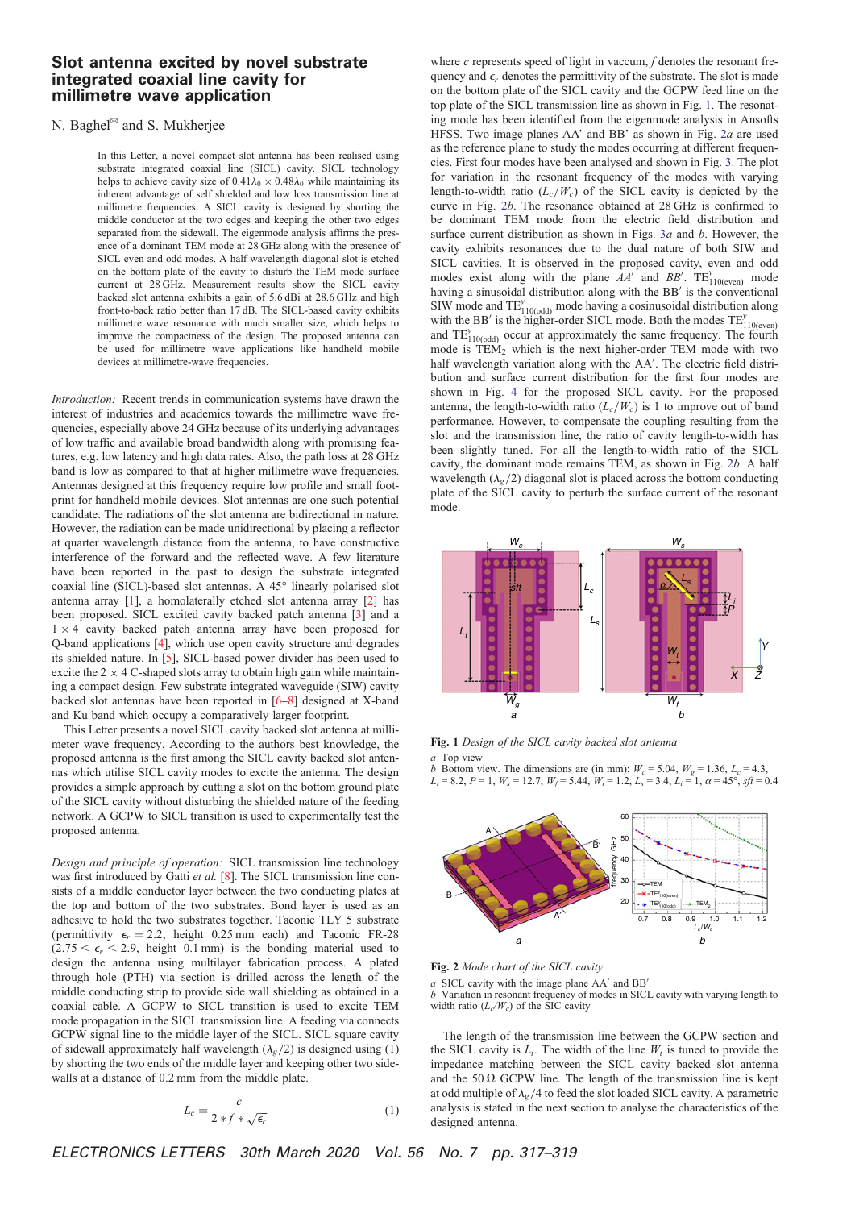## Slot antenna excited by novel substrate integrated coaxial line cavity for millimetre wave application

## N. Baghel<sup>⊠</sup> and S. Mukherjee

In this Letter, a novel compact slot antenna has been realised using substrate integrated coaxial line (SICL) cavity. SICL technology helps to achieve cavity size of  $0.41\lambda_0 \times 0.48\lambda_0$  while maintaining its inherent advantage of self shielded and low loss transmission line at millimetre frequencies. A SICL cavity is designed by shorting the middle conductor at the two edges and keeping the other two edges separated from the sidewall. The eigenmode analysis affirms the presence of a dominant TEM mode at 28 GHz along with the presence of SICL even and odd modes. A half wavelength diagonal slot is etched on the bottom plate of the cavity to disturb the TEM mode surface current at 28 GHz. Measurement results show the SICL cavity backed slot antenna exhibits a gain of 5.6 dBi at 28.6 GHz and high front-to-back ratio better than 17 dB. The SICL-based cavity exhibits millimetre wave resonance with much smaller size, which helps to improve the compactness of the design. The proposed antenna can be used for millimetre wave applications like handheld mobile devices at millimetre-wave frequencies.

*Introduction:* Recent trends in communication systems have drawn the interest of industries and academics towards the millimetre wave frequencies, especially above 24 GHz because of its underlying advantages of low traffic and available broad bandwidth along with promising features, e.g. low latency and high data rates. Also, the path loss at 28 GHz band is low as compared to that at higher millimetre wave frequencies. Antennas designed at this frequency require low profile and small footprint for handheld mobile devices. Slot antennas are one such potential candidate. The radiations of the slot antenna are bidirectional in nature. However, the radiation can be made unidirectional by placing a reflector at quarter wavelength distance from the antenna, to have constructive interference of the forward and the reflected wave. A few literature have been reported in the past to design the substrate integrated coaxial line (SICL)-based slot antennas. A 45° linearly polarised slot antenna array [1], a homolaterally etched slot antenna array [2] has been proposed. SICL excited cavity backed patch antenna [3] and a  $1 \times 4$  cavity backed patch antenna array have been proposed for Q-band applications [4], which use open cavity structure and degrades its shielded nature. In [5], SICL-based power divider has been used to excite the  $2 \times 4$  C-shaped slots array to obtain high gain while maintaining a compact design. Few substrate integrated waveguide (SIW) cavity backed slot antennas have been reported in [6–8] designed at X-band and Ku band which occupy a comparatively larger footprint.

This Letter presents a novel SICL cavity backed slot antenna at millimeter wave frequency. According to the authors best knowledge, the proposed antenna is the first among the SICL cavity backed slot antennas which utilise SICL cavity modes to excite the antenna. The design provides a simple approach by cutting a slot on the bottom ground plate of the SICL cavity without disturbing the shielded nature of the feeding network. A GCPW to SICL transition is used to experimentally test the proposed antenna.

*Design and principle of operation:* SICL transmission line technology was first introduced by Gatti et al. [8]. The SICL transmission line consists of a middle conductor layer between the two conducting plates at the top and bottom of the two substrates. Bond layer is used as an adhesive to hold the two substrates together. Taconic TLY 5 substrate (permittivity  $\epsilon_r = 2.2$ , height 0.25 mm each) and Taconic FR-28  $(2.75 < \epsilon_r < 2.9$ , height 0.1 mm) is the bonding material used to design the antenna using multilayer fabrication process. A plated through hole (PTH) via section is drilled across the length of the middle conducting strip to provide side wall shielding as obtained in a coaxial cable. A GCPW to SICL transition is used to excite TEM mode propagation in the SICL transmission line. A feeding via connects GCPW signal line to the middle layer of the SICL. SICL square cavity of sidewall approximately half wavelength  $(\lambda_g/2)$  is designed using (1) by shorting the two ends of the middle layer and keeping other two sidewalls at a distance of 0.2 mm from the middle plate.

$$
L_c = \frac{c}{2*f*\sqrt{\epsilon_r}}
$$
 (1)

where *c* represents speed of light in vaccum, *f* denotes the resonant frequency and  $\epsilon_r$  denotes the permittivity of the substrate. The slot is made on the bottom plate of the SICL cavity and the GCPW feed line on the top plate of the SICL transmission line as shown in Fig. 1. The resonating mode has been identified from the eigenmode analysis in Ansofts HFSS. Two image planes AA' and BB' as shown in Fig. 2*a* are used as the reference plane to study the modes occurring at different frequencies. First four modes have been analysed and shown in Fig. 3. The plot for variation in the resonant frequency of the modes with varying length-to-width ratio  $(L_c/W_c)$  of the SICL cavity is depicted by the curve in Fig. 2*b*. The resonance obtained at 28 GHz is confirmed to be dominant TEM mode from the electric field distribution and surface current distribution as shown in Figs. 3*a* and *b*. However, the cavity exhibits resonances due to the dual nature of both SIW and SICL cavities. It is observed in the proposed cavity, even and odd modes exist along with the plane  $AA'$  and  $BB'$ .  $TE_{110(even)}^y$  mode having a sinusoidal distribution along with the BB' is the conventional SIW mode and TE<sup>y</sup><sub>110(odd)</sub> mode having a cosinusoidal distribution along with the BB' is the higher-order SICL mode. Both the modes  $TE_{110(even)}^{\nu}$ and  $TE_{110(odd)}^y$  occur at approximately the same frequency. The fourth mode is  $\text{TEM}_2$  which is the next higher-order TEM mode with two half wavelength variation along with the AA'. The electric field distribution and surface current distribution for the first four modes are shown in Fig. 4 for the proposed SICL cavity. For the proposed antenna, the length-to-width ratio  $(L_c/W_c)$  is 1 to improve out of band performance. However, to compensate the coupling resulting from the slot and the transmission line, the ratio of cavity length-to-width has been slightly tuned. For all the length-to-width ratio of the SICL cavity, the dominant mode remains TEM, as shown in Fig. 2*b*. A half wavelength  $(\lambda_g/2)$  diagonal slot is placed across the bottom conducting plate of the SICL cavity to perturb the surface current of the resonant mode.



Fig. 1 *Design of the SICL cavity backed slot antenna*

*a* Top view

*b* Bottom view. The dimensions are (in mm):  $W_c = 5.04$ ,  $W_g = 1.36$ ,  $L_c = 4.3$ ,  $L_t = 8.2, P = 1, W_s = 12.7, W_f = 5.44, W_t = 1.2, L_s = 3.4, L_t = 1, \alpha = 45^\circ, sft = 0.4$ 



Fig. 2 *Mode chart of the SICL cavity*

*a* SICL cavity with the image plane AA′ and BB′

*b* Variation in resonant frequency of modes in SICL cavity with varying length to width ratio  $(L_c/W_c)$  of the SIC cavity

The length of the transmission line between the GCPW section and the SICL cavity is  $L_t$ . The width of the line  $W_t$  is tuned to provide the impedance matching between the SICL cavity backed slot antenna and the 50  $\Omega$  GCPW line. The length of the transmission line is kept at odd multiple of  $\lambda_g/4$  to feed the slot loaded SICL cavity. A parametric analysis is stated in the next section to analyse the characteristics of the designed antenna.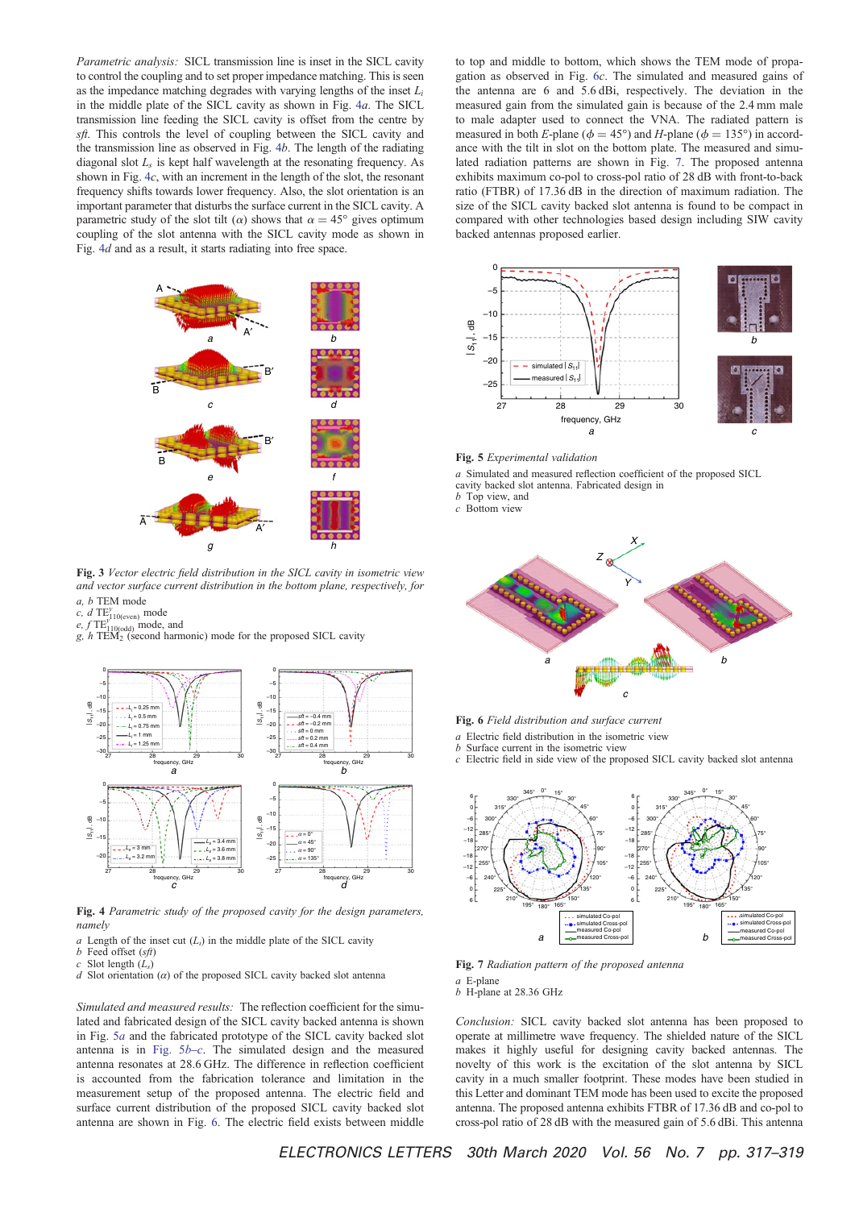*Parametric analysis:* SICL transmission line is inset in the SICL cavity to control the coupling and to set proper impedance matching. This is seen as the impedance matching degrades with varying lengths of the inset *L<sup>i</sup>* in the middle plate of the SICL cavity as shown in Fig. 4*a*. The SICL transmission line feeding the SICL cavity is offset from the centre by *sft*. This controls the level of coupling between the SICL cavity and the transmission line as observed in Fig. 4*b*. The length of the radiating diagonal slot *L<sup>s</sup>* is kept half wavelength at the resonating frequency. As shown in Fig. 4*c*, with an increment in the length of the slot, the resonant frequency shifts towards lower frequency. Also, the slot orientation is an important parameter that disturbs the surface current in the SICL cavity. A parametric study of the slot tilt ( $\alpha$ ) shows that  $\alpha = 45^{\circ}$  gives optimum coupling of the slot antenna with the SICL cavity mode as shown in Fig. 4*d* and as a result, it starts radiating into free space.



Fig. 3 *Vector electric* fi*eld distribution in the SICL cavity in isometric view and vector surface current distribution in the bottom plane, respectively, for*

- *a, b* TEM mode
- 
- 
- *c*, *d* TE<sup>*y*</sup><sub>110(even)</sub> mode<br>*e, f* TE<sup>*y*</sup><sub>110(edd)</sub> mode, and<br>*g, h* TEM<sub>2</sub> (second harmonic) mode for the proposed SICL cavity



Fig. 4 *Parametric study of the proposed cavity for the design parameters, namely*

- *a* Length of the inset cut  $(L_i)$  in the middle plate of the SICL cavity
- *b* Feed offset (*sft*)
- *c* Slot length (*L<sup>s</sup>* ) *d* Slot orientation ( $\alpha$ ) of the proposed SICL cavity backed slot antenna

*Simulated and measured results:* The reflection coefficient for the simulated and fabricated design of the SICL cavity backed antenna is shown in Fig. 5*a* and the fabricated prototype of the SICL cavity backed slot antenna is in Fig. 5*b*–*c*. The simulated design and the measured antenna resonates at 28.6 GHz. The difference in reflection coefficient is accounted from the fabrication tolerance and limitation in the measurement setup of the proposed antenna. The electric field and surface current distribution of the proposed SICL cavity backed slot antenna are shown in Fig. 6. The electric field exists between middle

to top and middle to bottom, which shows the TEM mode of propagation as observed in Fig. 6*c*. The simulated and measured gains of the antenna are 6 and 5.6 dBi, respectively. The deviation in the measured gain from the simulated gain is because of the 2.4 mm male to male adapter used to connect the VNA. The radiated pattern is measured in both *E*-plane ( $\phi = 45^{\circ}$ ) and *H*-plane ( $\phi = 135^{\circ}$ ) in accordance with the tilt in slot on the bottom plate. The measured and simulated radiation patterns are shown in Fig. 7. The proposed antenna exhibits maximum co-pol to cross-pol ratio of 28 dB with front-to-back ratio (FTBR) of 17.36 dB in the direction of maximum radiation. The size of the SICL cavity backed slot antenna is found to be compact in compared with other technologies based design including SIW cavity backed antennas proposed earlier.



Fig. 5 *Experimental validation*

*a* Simulated and measured reflection coefficient of the proposed SICL cavity backed slot antenna. Fabricated design in *b* Top view, and

- *c* Bottom view
- 



Fig. 6 *Field distribution and surface current*

- *a* Electric field distribution in the isometric view
- *b* Surface current in the isometric view
- *c* Electric field in side view of the proposed SICL cavity backed slot antenna



Fig. 7 *Radiation pattern of the proposed antenna*

- *a* E-plane
- *b* H-plane at 28.36 GHz

*Conclusion:* SICL cavity backed slot antenna has been proposed to operate at millimetre wave frequency. The shielded nature of the SICL makes it highly useful for designing cavity backed antennas. The novelty of this work is the excitation of the slot antenna by SICL cavity in a much smaller footprint. These modes have been studied in this Letter and dominant TEM mode has been used to excite the proposed antenna. The proposed antenna exhibits FTBR of 17.36 dB and co-pol to cross-pol ratio of 28 dB with the measured gain of 5.6 dBi. This antenna

ELECTRONICS LETTERS 30th March 2020 Vol. 56 No. 7 pp. 317–319